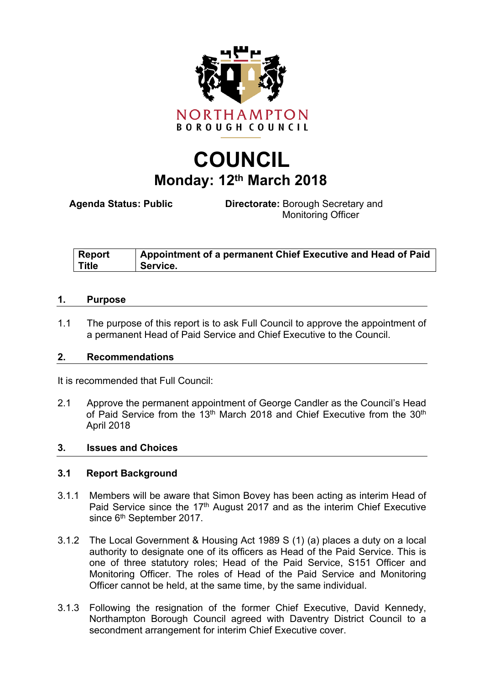

# **COUNCIL Monday: 12th March 2018**

**Agenda Status: Public Directorate:** Borough Secretary and Monitoring Officer

| <b>Report</b> | $\perp$ Appointment of a permanent Chief Executive and Head of Paid |
|---------------|---------------------------------------------------------------------|
| <b>Title</b>  | Service.                                                            |

#### **1. Purpose**

1.1 The purpose of this report is to ask Full Council to approve the appointment of a permanent Head of Paid Service and Chief Executive to the Council.

#### **2. Recommendations**

It is recommended that Full Council:

2.1 Approve the permanent appointment of George Candler as the Council's Head of Paid Service from the 13<sup>th</sup> March 2018 and Chief Executive from the 30<sup>th</sup> April 2018

#### **3. Issues and Choices**

#### **3.1 Report Background**

- 3.1.1 Members will be aware that Simon Bovey has been acting as interim Head of Paid Service since the 17<sup>th</sup> August 2017 and as the interim Chief Executive since 6<sup>th</sup> September 2017.
- 3.1.2 The Local Government & Housing Act 1989 S (1) (a) places a duty on a local authority to designate one of its officers as Head of the Paid Service. This is one of three statutory roles; Head of the Paid Service, S151 Officer and Monitoring Officer. The roles of Head of the Paid Service and Monitoring Officer cannot be held, at the same time, by the same individual.
- 3.1.3 Following the resignation of the former Chief Executive, David Kennedy, Northampton Borough Council agreed with Daventry District Council to a secondment arrangement for interim Chief Executive cover.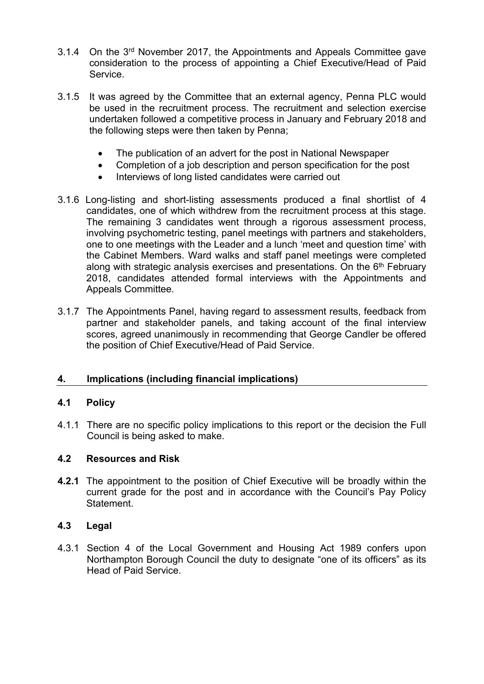- 3.1.4 On the 3<sup>rd</sup> November 2017, the Appointments and Appeals Committee gave consideration to the process of appointing a Chief Executive/Head of Paid Service.
- 3.1.5 It was agreed by the Committee that an external agency, Penna PLC would be used in the recruitment process. The recruitment and selection exercise undertaken followed a competitive process in January and February 2018 and the following steps were then taken by Penna;
	- The publication of an advert for the post in National Newspaper
	- Completion of a job description and person specification for the post
	- Interviews of long listed candidates were carried out
- 3.1.6 Long-listing and short-listing assessments produced a final shortlist of 4 candidates, one of which withdrew from the recruitment process at this stage. The remaining 3 candidates went through a rigorous assessment process, involving psychometric testing, panel meetings with partners and stakeholders, one to one meetings with the Leader and a lunch 'meet and question time' with the Cabinet Members. Ward walks and staff panel meetings were completed along with strategic analysis exercises and presentations. On the 6<sup>th</sup> February 2018, candidates attended formal interviews with the Appointments and Appeals Committee.
- 3.1.7 The Appointments Panel, having regard to assessment results, feedback from partner and stakeholder panels, and taking account of the final interview scores, agreed unanimously in recommending that George Candler be offered the position of Chief Executive/Head of Paid Service.

## **4. Implications (including financial implications)**

## **4.1 Policy**

4.1.1 There are no specific policy implications to this report or the decision the Full Council is being asked to make.

## **4.2 Resources and Risk**

**4.2.1** The appointment to the position of Chief Executive will be broadly within the current grade for the post and in accordance with the Council's Pay Policy Statement.

## **4.3 Legal**

4.3.1 Section 4 of the Local Government and Housing Act 1989 confers upon Northampton Borough Council the duty to designate "one of its officers" as its Head of Paid Service.